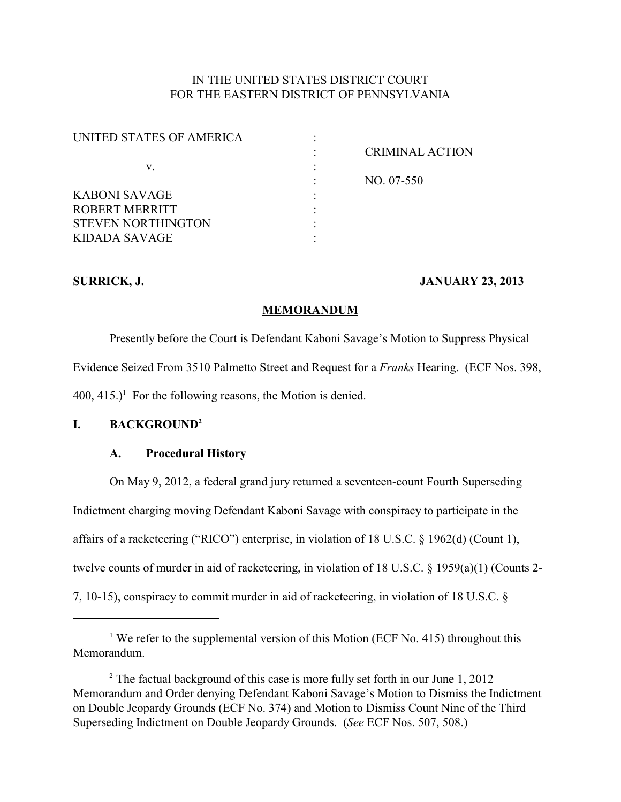# IN THE UNITED STATES DISTRICT COURT FOR THE EASTERN DISTRICT OF PENNSYLVANIA

| <b>CRIMINAL ACTION</b> |
|------------------------|
|                        |
| NO. 07-550             |
|                        |
|                        |
|                        |
|                        |
|                        |

# **SURRICK, J. JANUARY 23, 2013**

# **MEMORANDUM**

Presently before the Court is Defendant Kaboni Savage's Motion to Suppress Physical Evidence Seized From 3510 Palmetto Street and Request for a *Franks* Hearing. (ECF Nos. 398,  $400$ ,  $415.$ <sup> $\text{I}$ </sup> For the following reasons, the Motion is denied.

# **I. BACKGROUND<sup>2</sup>**

# **A. Procedural History**

On May 9, 2012, a federal grand jury returned a seventeen-count Fourth Superseding Indictment charging moving Defendant Kaboni Savage with conspiracy to participate in the affairs of a racketeering ("RICO") enterprise, in violation of 18 U.S.C. § 1962(d) (Count 1), twelve counts of murder in aid of racketeering, in violation of 18 U.S.C. § 1959(a)(1) (Counts 2- 7, 10-15), conspiracy to commit murder in aid of racketeering, in violation of 18 U.S.C. §

# <sup>1</sup> We refer to the supplemental version of this Motion (ECF No. 415) throughout this Memorandum.

 $2$  The factual background of this case is more fully set forth in our June 1, 2012 Memorandum and Order denying Defendant Kaboni Savage's Motion to Dismiss the Indictment on Double Jeopardy Grounds (ECF No. 374) and Motion to Dismiss Count Nine of the Third Superseding Indictment on Double Jeopardy Grounds. (*See* ECF Nos. 507, 508.)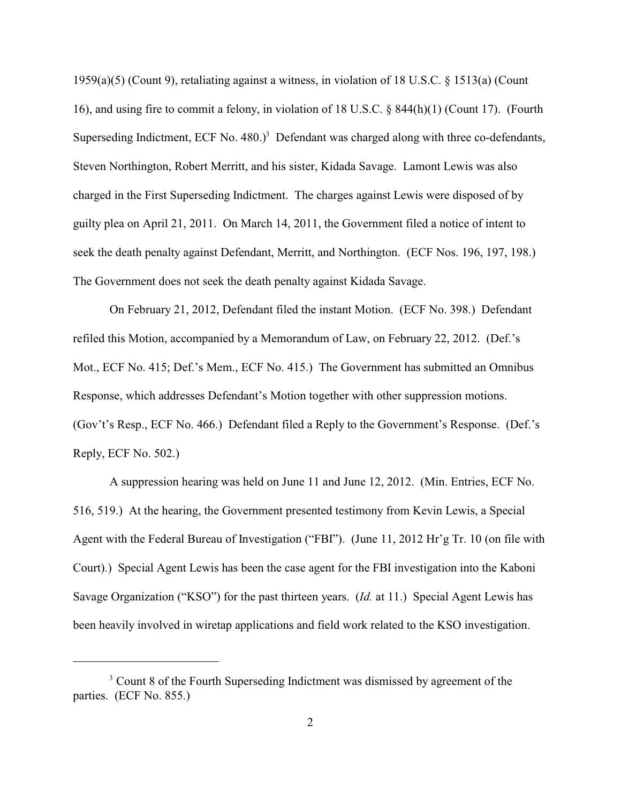1959(a)(5) (Count 9), retaliating against a witness, in violation of 18 U.S.C. § 1513(a) (Count 16), and using fire to commit a felony, in violation of 18 U.S.C. § 844(h)(1) (Count 17). (Fourth Superseding Indictment, ECF No.  $480.$ <sup>3</sup> Defendant was charged along with three co-defendants, Steven Northington, Robert Merritt, and his sister, Kidada Savage. Lamont Lewis was also charged in the First Superseding Indictment. The charges against Lewis were disposed of by guilty plea on April 21, 2011. On March 14, 2011, the Government filed a notice of intent to seek the death penalty against Defendant, Merritt, and Northington. (ECF Nos. 196, 197, 198.) The Government does not seek the death penalty against Kidada Savage.

On February 21, 2012, Defendant filed the instant Motion. (ECF No. 398.) Defendant refiled this Motion, accompanied by a Memorandum of Law, on February 22, 2012. (Def.'s Mot., ECF No. 415; Def.'s Mem., ECF No. 415.) The Government has submitted an Omnibus Response, which addresses Defendant's Motion together with other suppression motions. (Gov't's Resp., ECF No. 466.) Defendant filed a Reply to the Government's Response. (Def.'s Reply, ECF No. 502.)

A suppression hearing was held on June 11 and June 12, 2012. (Min. Entries, ECF No. 516, 519.) At the hearing, the Government presented testimony from Kevin Lewis, a Special Agent with the Federal Bureau of Investigation ("FBI"). (June 11, 2012 Hr'g Tr. 10 (on file with Court).) Special Agent Lewis has been the case agent for the FBI investigation into the Kaboni Savage Organization ("KSO") for the past thirteen years. (*Id.* at 11.) Special Agent Lewis has been heavily involved in wiretap applications and field work related to the KSO investigation.

<sup>&</sup>lt;sup>3</sup> Count 8 of the Fourth Superseding Indictment was dismissed by agreement of the parties. (ECF No. 855.)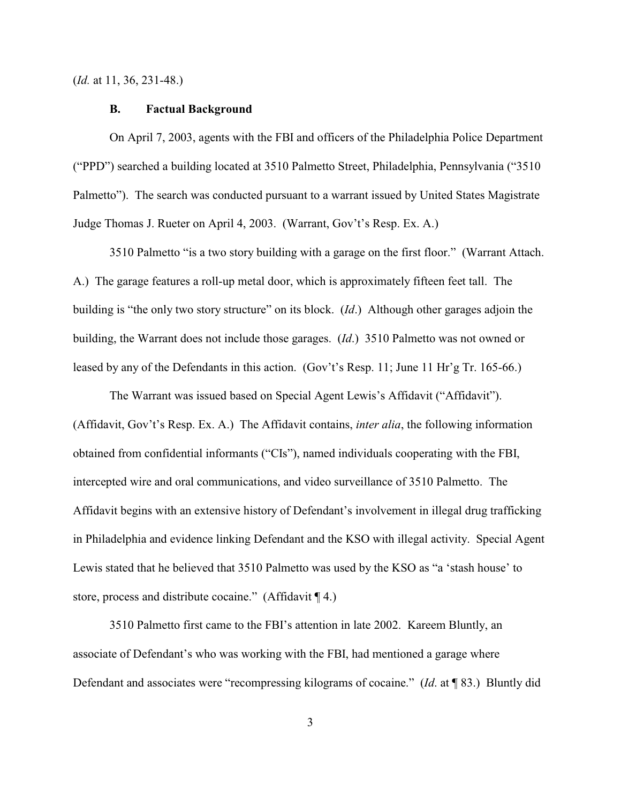(*Id.* at 11, 36, 231-48.)

#### **B. Factual Background**

On April 7, 2003, agents with the FBI and officers of the Philadelphia Police Department ("PPD") searched a building located at 3510 Palmetto Street, Philadelphia, Pennsylvania ("3510 Palmetto"). The search was conducted pursuant to a warrant issued by United States Magistrate Judge Thomas J. Rueter on April 4, 2003. (Warrant, Gov't's Resp. Ex. A.)

3510 Palmetto "is a two story building with a garage on the first floor." (Warrant Attach. A.) The garage features a roll-up metal door, which is approximately fifteen feet tall. The building is "the only two story structure" on its block. (*Id*.) Although other garages adjoin the building, the Warrant does not include those garages. (*Id*.) 3510 Palmetto was not owned or leased by any of the Defendants in this action. (Gov't's Resp. 11; June 11 Hr'g Tr. 165-66.)

The Warrant was issued based on Special Agent Lewis's Affidavit ("Affidavit"). (Affidavit, Gov't's Resp. Ex. A.) The Affidavit contains, *inter alia*, the following information obtained from confidential informants ("CIs"), named individuals cooperating with the FBI, intercepted wire and oral communications, and video surveillance of 3510 Palmetto. The Affidavit begins with an extensive history of Defendant's involvement in illegal drug trafficking in Philadelphia and evidence linking Defendant and the KSO with illegal activity. Special Agent Lewis stated that he believed that 3510 Palmetto was used by the KSO as "a 'stash house' to store, process and distribute cocaine." (Affidavit ¶ 4.)

3510 Palmetto first came to the FBI's attention in late 2002. Kareem Bluntly, an associate of Defendant's who was working with the FBI, had mentioned a garage where Defendant and associates were "recompressing kilograms of cocaine." (*Id*. at ¶ 83.) Bluntly did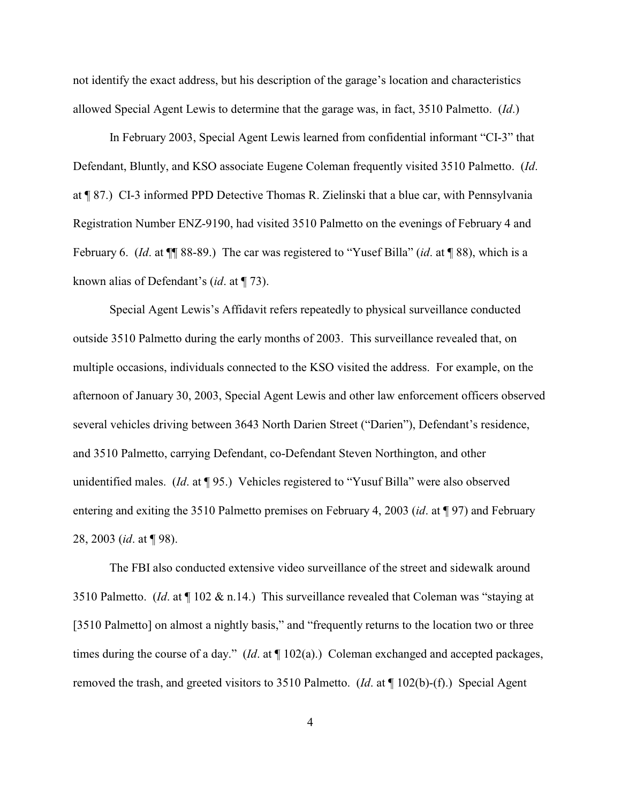not identify the exact address, but his description of the garage's location and characteristics allowed Special Agent Lewis to determine that the garage was, in fact, 3510 Palmetto. (*Id*.)

In February 2003, Special Agent Lewis learned from confidential informant "CI-3" that Defendant, Bluntly, and KSO associate Eugene Coleman frequently visited 3510 Palmetto. (*Id*. at ¶ 87.) CI-3 informed PPD Detective Thomas R. Zielinski that a blue car, with Pennsylvania Registration Number ENZ-9190, had visited 3510 Palmetto on the evenings of February 4 and February 6. (*Id*. at ¶¶ 88-89.) The car was registered to "Yusef Billa" (*id*. at ¶ 88), which is a known alias of Defendant's (*id*. at ¶ 73).

Special Agent Lewis's Affidavit refers repeatedly to physical surveillance conducted outside 3510 Palmetto during the early months of 2003. This surveillance revealed that, on multiple occasions, individuals connected to the KSO visited the address. For example, on the afternoon of January 30, 2003, Special Agent Lewis and other law enforcement officers observed several vehicles driving between 3643 North Darien Street ("Darien"), Defendant's residence, and 3510 Palmetto, carrying Defendant, co-Defendant Steven Northington, and other unidentified males. (*Id*. at ¶ 95.) Vehicles registered to "Yusuf Billa" were also observed entering and exiting the 3510 Palmetto premises on February 4, 2003 (*id*. at ¶ 97) and February 28, 2003 (*id*. at ¶ 98).

The FBI also conducted extensive video surveillance of the street and sidewalk around 3510 Palmetto. (*Id*. at ¶ 102 & n.14.) This surveillance revealed that Coleman was "staying at [3510 Palmetto] on almost a nightly basis," and "frequently returns to the location two or three times during the course of a day." (*Id*. at ¶ 102(a).) Coleman exchanged and accepted packages, removed the trash, and greeted visitors to 3510 Palmetto. (*Id*. at ¶ 102(b)-(f).) Special Agent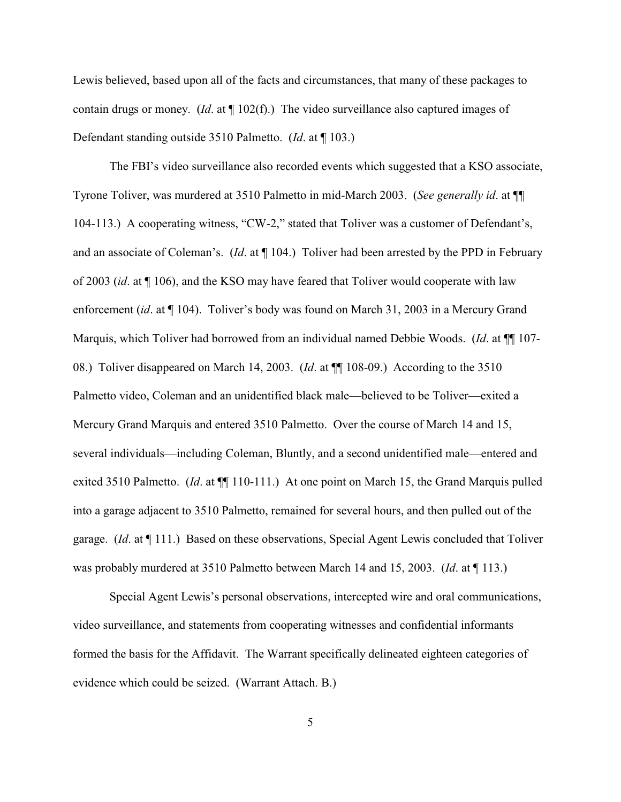Lewis believed, based upon all of the facts and circumstances, that many of these packages to contain drugs or money. (*Id*. at ¶ 102(f).) The video surveillance also captured images of Defendant standing outside 3510 Palmetto. (*Id*. at ¶ 103.)

The FBI's video surveillance also recorded events which suggested that a KSO associate, Tyrone Toliver, was murdered at 3510 Palmetto in mid-March 2003. (*See generally id*. at ¶¶ 104-113.) A cooperating witness, "CW-2," stated that Toliver was a customer of Defendant's, and an associate of Coleman's. (*Id*. at ¶ 104.) Toliver had been arrested by the PPD in February of 2003 (*id*. at ¶ 106), and the KSO may have feared that Toliver would cooperate with law enforcement (*id*. at ¶ 104). Toliver's body was found on March 31, 2003 in a Mercury Grand Marquis, which Toliver had borrowed from an individual named Debbie Woods. (*Id*. at ¶¶ 107- 08.) Toliver disappeared on March 14, 2003. (*Id*. at ¶¶ 108-09.) According to the 3510 Palmetto video, Coleman and an unidentified black male—believed to be Toliver—exited a Mercury Grand Marquis and entered 3510 Palmetto. Over the course of March 14 and 15, several individuals—including Coleman, Bluntly, and a second unidentified male—entered and exited 3510 Palmetto. (*Id.* at  $\P$  110-111.) At one point on March 15, the Grand Marquis pulled into a garage adjacent to 3510 Palmetto, remained for several hours, and then pulled out of the garage. (*Id*. at ¶ 111.) Based on these observations, Special Agent Lewis concluded that Toliver was probably murdered at 3510 Palmetto between March 14 and 15, 2003. (*Id*. at ¶ 113.)

Special Agent Lewis's personal observations, intercepted wire and oral communications, video surveillance, and statements from cooperating witnesses and confidential informants formed the basis for the Affidavit. The Warrant specifically delineated eighteen categories of evidence which could be seized. (Warrant Attach. B.)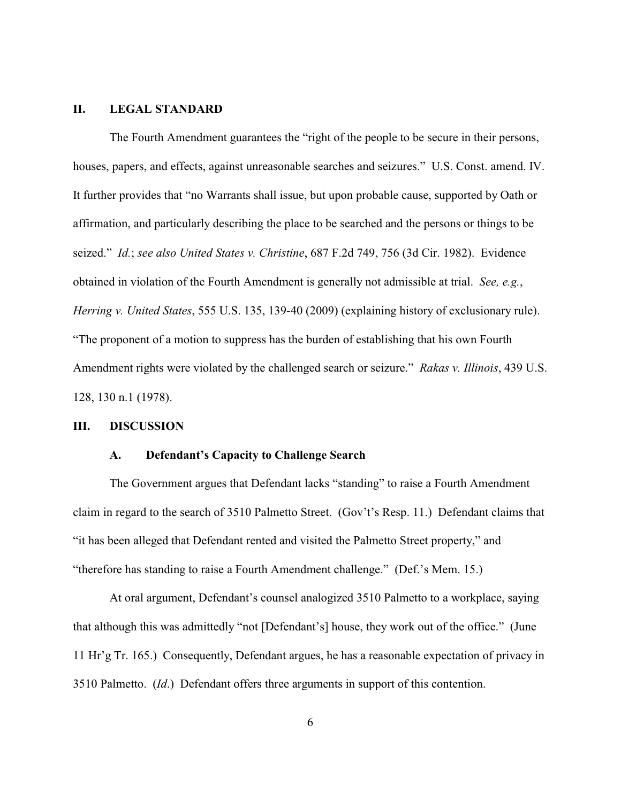#### **II. LEGAL STANDARD**

The Fourth Amendment guarantees the "right of the people to be secure in their persons, houses, papers, and effects, against unreasonable searches and seizures." U.S. Const. amend. IV. It further provides that "no Warrants shall issue, but upon probable cause, supported by Oath or affirmation, and particularly describing the place to be searched and the persons or things to be seized." *Id.*; *see also United States v. Christine*, 687 F.2d 749, 756 (3d Cir. 1982).Evidence obtained in violation of the Fourth Amendment is generally not admissible at trial. *See, e.g.*, *Herring v. United States*, 555 U.S. 135, 139-40 (2009) (explaining history of exclusionary rule). "The proponent of a motion to suppress has the burden of establishing that his own Fourth Amendment rights were violated by the challenged search or seizure." *Rakas v. Illinois*, 439 U.S. 128, 130 n.1 (1978).

#### **III. DISCUSSION**

#### **A. Defendant's Capacity to Challenge Search**

The Government argues that Defendant lacks "standing" to raise a Fourth Amendment claim in regard to the search of 3510 Palmetto Street. (Gov't's Resp. 11.) Defendant claims that "it has been alleged that Defendant rented and visited the Palmetto Street property," and "therefore has standing to raise a Fourth Amendment challenge." (Def.'s Mem. 15.)

At oral argument, Defendant's counsel analogized 3510 Palmetto to a workplace, saying that although this was admittedly "not [Defendant's] house, they work out of the office." (June 11 Hr'g Tr. 165.) Consequently, Defendant argues, he has a reasonable expectation of privacy in 3510 Palmetto. (*Id*.) Defendant offers three arguments in support of this contention.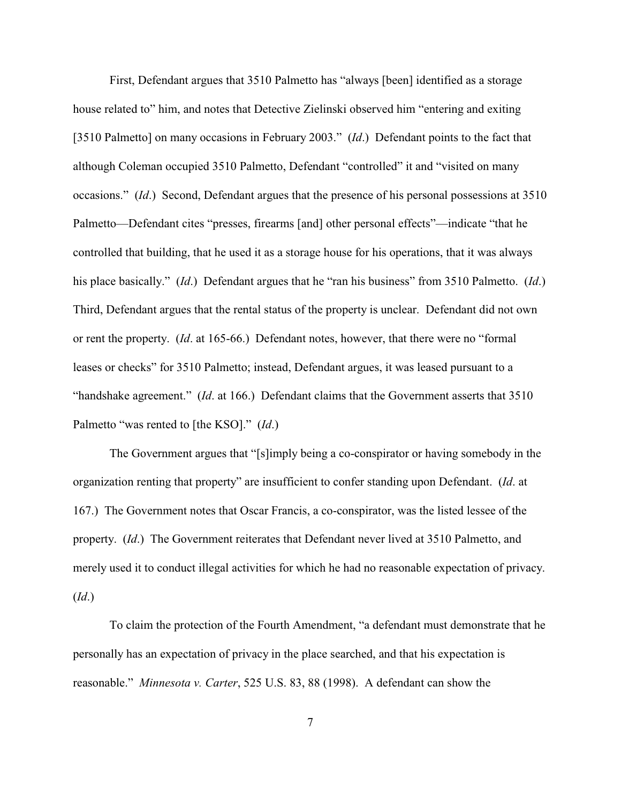First, Defendant argues that 3510 Palmetto has "always [been] identified as a storage house related to" him, and notes that Detective Zielinski observed him "entering and exiting [3510 Palmetto] on many occasions in February 2003." (*Id*.) Defendant points to the fact that although Coleman occupied 3510 Palmetto, Defendant "controlled" it and "visited on many occasions." (*Id*.) Second, Defendant argues that the presence of his personal possessions at 3510 Palmetto—Defendant cites "presses, firearms [and] other personal effects"—indicate "that he controlled that building, that he used it as a storage house for his operations, that it was always his place basically." (*Id*.) Defendant argues that he "ran his business" from 3510 Palmetto. (*Id*.) Third, Defendant argues that the rental status of the property is unclear. Defendant did not own or rent the property. (*Id*. at 165-66.) Defendant notes, however, that there were no "formal leases or checks" for 3510 Palmetto; instead, Defendant argues, it was leased pursuant to a "handshake agreement." (*Id*. at 166.) Defendant claims that the Government asserts that 3510 Palmetto "was rented to [the KSO]." (*Id*.)

The Government argues that "[s]imply being a co-conspirator or having somebody in the organization renting that property" are insufficient to confer standing upon Defendant. (*Id*. at 167.) The Government notes that Oscar Francis, a co-conspirator, was the listed lessee of the property. (*Id*.) The Government reiterates that Defendant never lived at 3510 Palmetto, and merely used it to conduct illegal activities for which he had no reasonable expectation of privacy. (*Id*.)

To claim the protection of the Fourth Amendment, "a defendant must demonstrate that he personally has an expectation of privacy in the place searched, and that his expectation is reasonable." *Minnesota v. Carter*, 525 U.S. 83, 88 (1998). A defendant can show the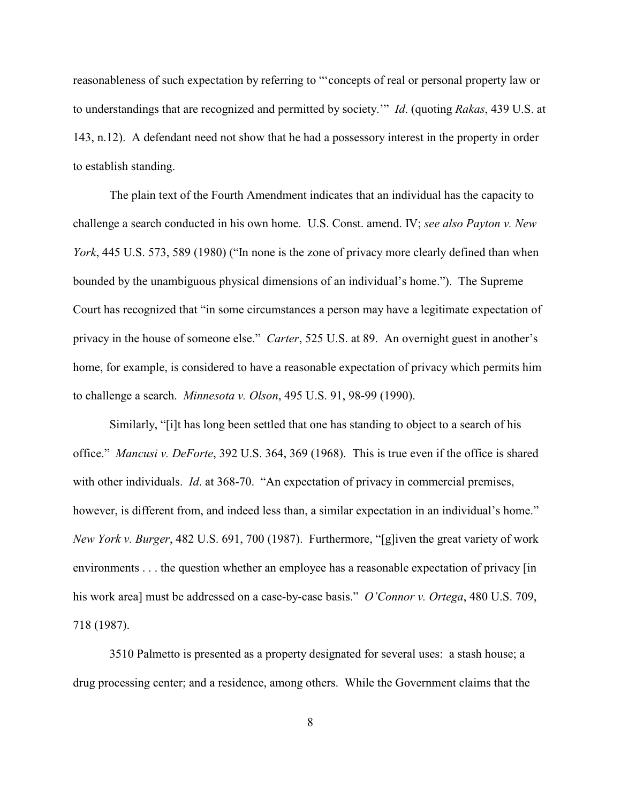reasonableness of such expectation by referring to "'concepts of real or personal property law or to understandings that are recognized and permitted by society.'" *Id*. (quoting *Rakas*, 439 U.S. at 143, n.12). A defendant need not show that he had a possessory interest in the property in order to establish standing.

The plain text of the Fourth Amendment indicates that an individual has the capacity to challenge a search conducted in his own home. U.S. Const. amend. IV; *see also Payton v. New York*, 445 U.S. 573, 589 (1980) ("In none is the zone of privacy more clearly defined than when bounded by the unambiguous physical dimensions of an individual's home."). The Supreme Court has recognized that "in some circumstances a person may have a legitimate expectation of privacy in the house of someone else." *Carter*, 525 U.S. at 89. An overnight guest in another's home, for example, is considered to have a reasonable expectation of privacy which permits him to challenge a search. *Minnesota v. Olson*, 495 U.S. 91, 98-99 (1990).

Similarly, "[i]t has long been settled that one has standing to object to a search of his office." *Mancusi v. DeForte*, 392 U.S. 364, 369 (1968). This is true even if the office is shared with other individuals. *Id*. at 368-70. "An expectation of privacy in commercial premises, however, is different from, and indeed less than, a similar expectation in an individual's home." *New York v. Burger*, 482 U.S. 691, 700 (1987). Furthermore, "[g]iven the great variety of work environments . . . the question whether an employee has a reasonable expectation of privacy [in his work area] must be addressed on a case-by-case basis." *O'Connor v. Ortega*, 480 U.S. 709, 718 (1987).

3510 Palmetto is presented as a property designated for several uses: a stash house; a drug processing center; and a residence, among others. While the Government claims that the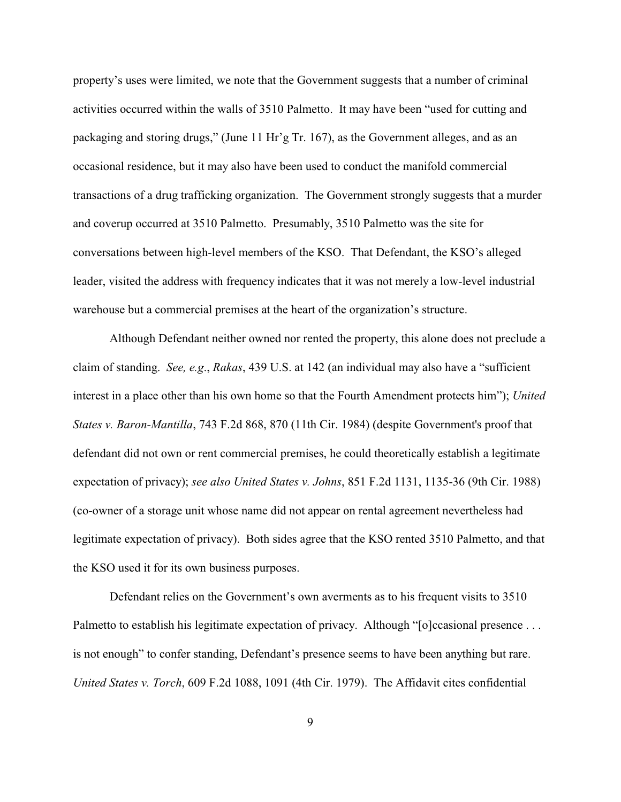property's uses were limited, we note that the Government suggests that a number of criminal activities occurred within the walls of 3510 Palmetto. It may have been "used for cutting and packaging and storing drugs," (June 11 Hr'g Tr. 167), as the Government alleges, and as an occasional residence, but it may also have been used to conduct the manifold commercial transactions of a drug trafficking organization. The Government strongly suggests that a murder and coverup occurred at 3510 Palmetto. Presumably, 3510 Palmetto was the site for conversations between high-level members of the KSO. That Defendant, the KSO's alleged leader, visited the address with frequency indicates that it was not merely a low-level industrial warehouse but a commercial premises at the heart of the organization's structure.

Although Defendant neither owned nor rented the property, this alone does not preclude a claim of standing. *See, e.g*., *Rakas*, 439 U.S. at 142 (an individual may also have a "sufficient interest in a place other than his own home so that the Fourth Amendment protects him"); *United States v. Baron-Mantilla*, 743 F.2d 868, 870 (11th Cir. 1984) (despite Government's proof that defendant did not own or rent commercial premises, he could theoretically establish a legitimate expectation of privacy); *see also United States v. Johns*, 851 F.2d 1131, 1135-36 (9th Cir. 1988) (co-owner of a storage unit whose name did not appear on rental agreement nevertheless had legitimate expectation of privacy). Both sides agree that the KSO rented 3510 Palmetto, and that the KSO used it for its own business purposes.

Defendant relies on the Government's own averments as to his frequent visits to 3510 Palmetto to establish his legitimate expectation of privacy. Although "[o]ccasional presence ... is not enough" to confer standing, Defendant's presence seems to have been anything but rare. *United States v. Torch*, 609 F.2d 1088, 1091 (4th Cir. 1979). The Affidavit cites confidential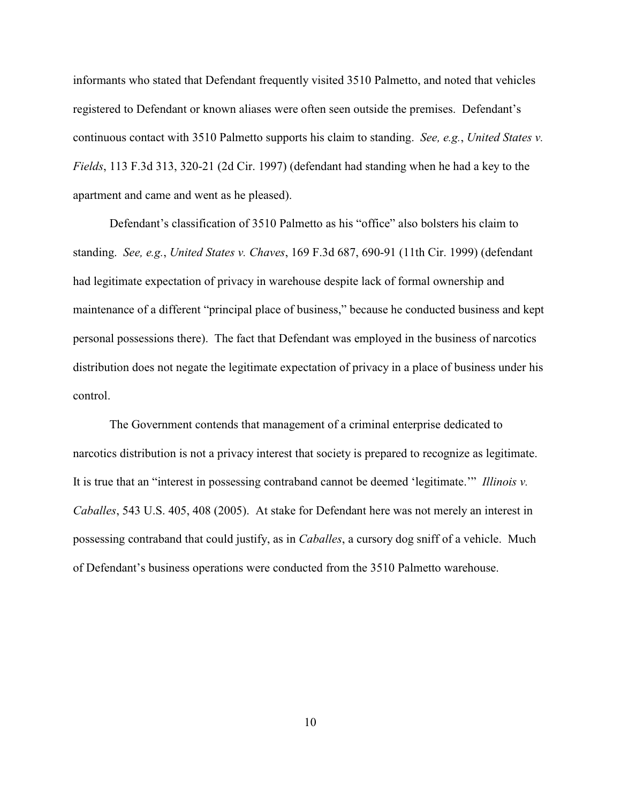informants who stated that Defendant frequently visited 3510 Palmetto, and noted that vehicles registered to Defendant or known aliases were often seen outside the premises. Defendant's continuous contact with 3510 Palmetto supports his claim to standing. *See, e.g.*, *United States v. Fields*, 113 F.3d 313, 320-21 (2d Cir. 1997) (defendant had standing when he had a key to the apartment and came and went as he pleased).

Defendant's classification of 3510 Palmetto as his "office" also bolsters his claim to standing. *See, e.g.*, *United States v. Chaves*, 169 F.3d 687, 690-91 (11th Cir. 1999) (defendant had legitimate expectation of privacy in warehouse despite lack of formal ownership and maintenance of a different "principal place of business," because he conducted business and kept personal possessions there). The fact that Defendant was employed in the business of narcotics distribution does not negate the legitimate expectation of privacy in a place of business under his control.

The Government contends that management of a criminal enterprise dedicated to narcotics distribution is not a privacy interest that society is prepared to recognize as legitimate. It is true that an "interest in possessing contraband cannot be deemed 'legitimate.'" *Illinois v. Caballes*, 543 U.S. 405, 408 (2005). At stake for Defendant here was not merely an interest in possessing contraband that could justify, as in *Caballes*, a cursory dog sniff of a vehicle. Much of Defendant's business operations were conducted from the 3510 Palmetto warehouse.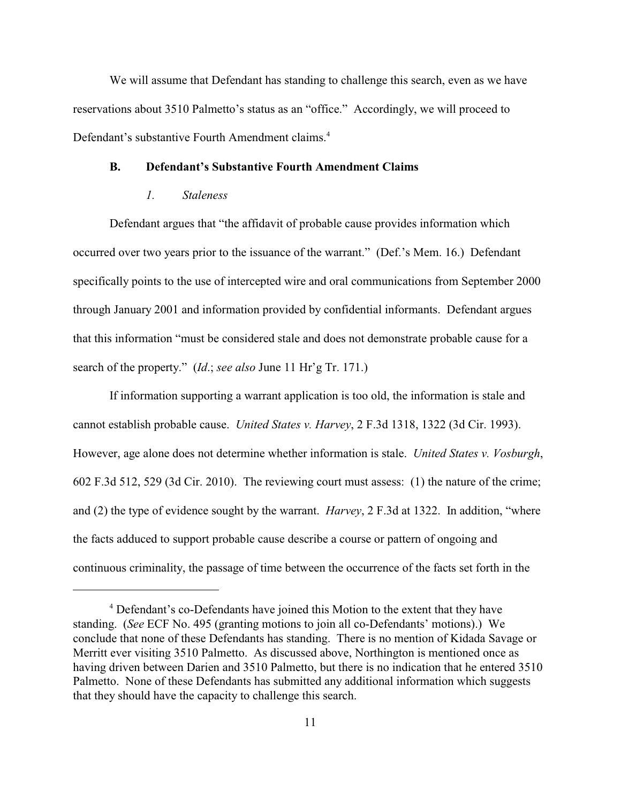We will assume that Defendant has standing to challenge this search, even as we have reservations about 3510 Palmetto's status as an "office." Accordingly, we will proceed to Defendant's substantive Fourth Amendment claims.<sup>4</sup>

#### **B. Defendant's Substantive Fourth Amendment Claims**

#### *1. Staleness*

Defendant argues that "the affidavit of probable cause provides information which occurred over two years prior to the issuance of the warrant." (Def.'s Mem. 16.) Defendant specifically points to the use of intercepted wire and oral communications from September 2000 through January 2001 and information provided by confidential informants. Defendant argues that this information "must be considered stale and does not demonstrate probable cause for a search of the property." (*Id*.; *see also* June 11 Hr'g Tr. 171.)

If information supporting a warrant application is too old, the information is stale and cannot establish probable cause. *United States v. Harvey*, 2 F.3d 1318, 1322 (3d Cir. 1993). However, age alone does not determine whether information is stale. *United States v. Vosburgh*, 602 F.3d 512, 529 (3d Cir. 2010). The reviewing court must assess: (1) the nature of the crime; and (2) the type of evidence sought by the warrant. *Harvey*, 2 F.3d at 1322. In addition, "where the facts adduced to support probable cause describe a course or pattern of ongoing and continuous criminality, the passage of time between the occurrence of the facts set forth in the

<sup>&</sup>lt;sup>4</sup> Defendant's co-Defendants have joined this Motion to the extent that they have standing. (*See* ECF No. 495 (granting motions to join all co-Defendants' motions).) We conclude that none of these Defendants has standing. There is no mention of Kidada Savage or Merritt ever visiting 3510 Palmetto. As discussed above, Northington is mentioned once as having driven between Darien and 3510 Palmetto, but there is no indication that he entered 3510 Palmetto. None of these Defendants has submitted any additional information which suggests that they should have the capacity to challenge this search.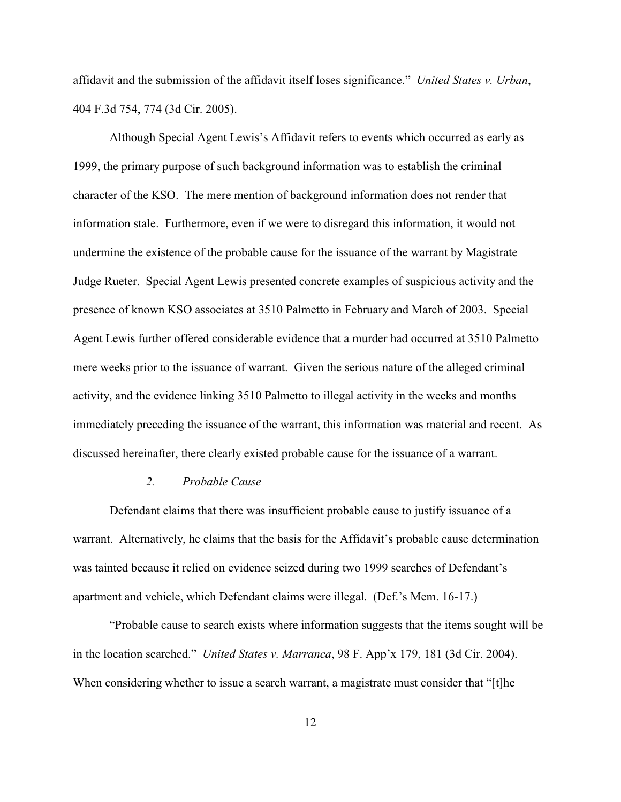affidavit and the submission of the affidavit itself loses significance." *United States v. Urban*, 404 F.3d 754, 774 (3d Cir. 2005).

Although Special Agent Lewis's Affidavit refers to events which occurred as early as 1999, the primary purpose of such background information was to establish the criminal character of the KSO. The mere mention of background information does not render that information stale. Furthermore, even if we were to disregard this information, it would not undermine the existence of the probable cause for the issuance of the warrant by Magistrate Judge Rueter. Special Agent Lewis presented concrete examples of suspicious activity and the presence of known KSO associates at 3510 Palmetto in February and March of 2003. Special Agent Lewis further offered considerable evidence that a murder had occurred at 3510 Palmetto mere weeks prior to the issuance of warrant. Given the serious nature of the alleged criminal activity, and the evidence linking 3510 Palmetto to illegal activity in the weeks and months immediately preceding the issuance of the warrant, this information was material and recent. As discussed hereinafter, there clearly existed probable cause for the issuance of a warrant.

#### *2. Probable Cause*

Defendant claims that there was insufficient probable cause to justify issuance of a warrant. Alternatively, he claims that the basis for the Affidavit's probable cause determination was tainted because it relied on evidence seized during two 1999 searches of Defendant's apartment and vehicle, which Defendant claims were illegal. (Def.'s Mem. 16-17.)

"Probable cause to search exists where information suggests that the items sought will be in the location searched." *United States v. Marranca*, 98 F. App'x 179, 181 (3d Cir. 2004). When considering whether to issue a search warrant, a magistrate must consider that "[t]he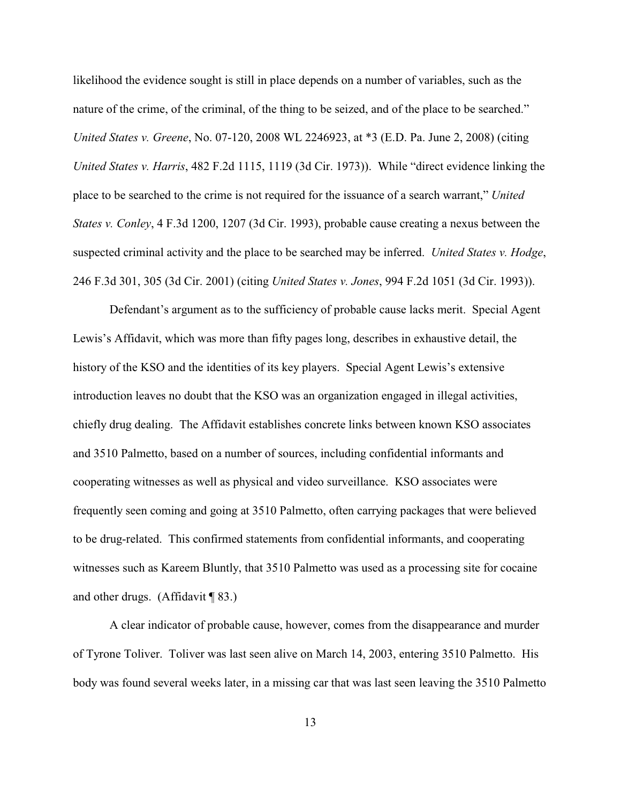likelihood the evidence sought is still in place depends on a number of variables, such as the nature of the crime, of the criminal, of the thing to be seized, and of the place to be searched." *United States v. Greene*, No. 07-120, 2008 WL 2246923, at \*3 (E.D. Pa. June 2, 2008) (citing *United States v. Harris*, 482 F.2d 1115, 1119 (3d Cir. 1973)). While "direct evidence linking the place to be searched to the crime is not required for the issuance of a search warrant," *United States v. Conley*, 4 F.3d 1200, 1207 (3d Cir. 1993), probable cause creating a nexus between the suspected criminal activity and the place to be searched may be inferred. *United States v. Hodge*, 246 F.3d 301, 305 (3d Cir. 2001) (citing *United States v. Jones*, 994 F.2d 1051 (3d Cir. 1993)).

Defendant's argument as to the sufficiency of probable cause lacks merit. Special Agent Lewis's Affidavit, which was more than fifty pages long, describes in exhaustive detail, the history of the KSO and the identities of its key players. Special Agent Lewis's extensive introduction leaves no doubt that the KSO was an organization engaged in illegal activities, chiefly drug dealing. The Affidavit establishes concrete links between known KSO associates and 3510 Palmetto, based on a number of sources, including confidential informants and cooperating witnesses as well as physical and video surveillance. KSO associates were frequently seen coming and going at 3510 Palmetto, often carrying packages that were believed to be drug-related. This confirmed statements from confidential informants, and cooperating witnesses such as Kareem Bluntly, that 3510 Palmetto was used as a processing site for cocaine and other drugs. (Affidavit  $\P$ 83.)

A clear indicator of probable cause, however, comes from the disappearance and murder of Tyrone Toliver. Toliver was last seen alive on March 14, 2003, entering 3510 Palmetto. His body was found several weeks later, in a missing car that was last seen leaving the 3510 Palmetto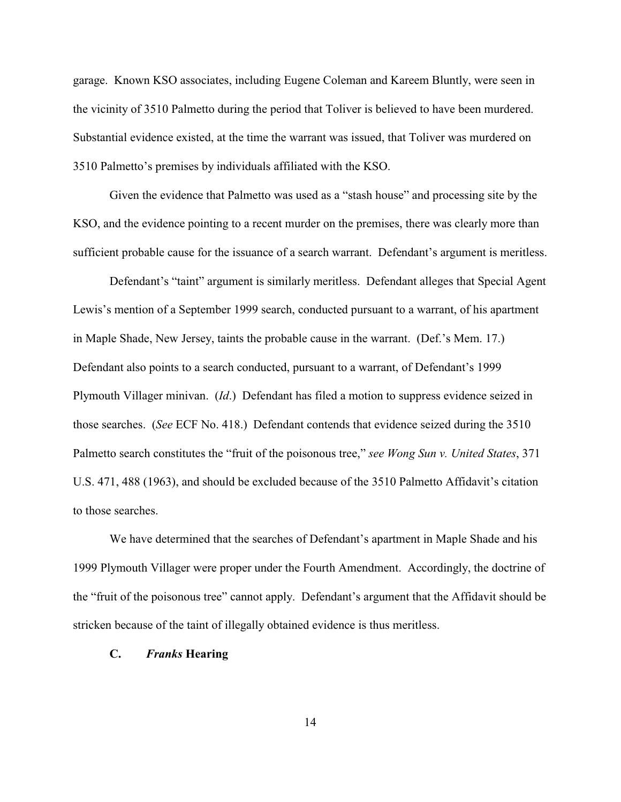garage. Known KSO associates, including Eugene Coleman and Kareem Bluntly, were seen in the vicinity of 3510 Palmetto during the period that Toliver is believed to have been murdered. Substantial evidence existed, at the time the warrant was issued, that Toliver was murdered on 3510 Palmetto's premises by individuals affiliated with the KSO.

Given the evidence that Palmetto was used as a "stash house" and processing site by the KSO, and the evidence pointing to a recent murder on the premises, there was clearly more than sufficient probable cause for the issuance of a search warrant. Defendant's argument is meritless.

Defendant's "taint" argument is similarly meritless. Defendant alleges that Special Agent Lewis's mention of a September 1999 search, conducted pursuant to a warrant, of his apartment in Maple Shade, New Jersey, taints the probable cause in the warrant. (Def.'s Mem. 17.) Defendant also points to a search conducted, pursuant to a warrant, of Defendant's 1999 Plymouth Villager minivan. (*Id*.) Defendant has filed a motion to suppress evidence seized in those searches. (*See* ECF No. 418.) Defendant contends that evidence seized during the 3510 Palmetto search constitutes the "fruit of the poisonous tree," *see Wong Sun v. United States*, 371 U.S. 471, 488 (1963), and should be excluded because of the 3510 Palmetto Affidavit's citation to those searches.

We have determined that the searches of Defendant's apartment in Maple Shade and his 1999 Plymouth Villager were proper under the Fourth Amendment. Accordingly, the doctrine of the "fruit of the poisonous tree" cannot apply. Defendant's argument that the Affidavit should be stricken because of the taint of illegally obtained evidence is thus meritless.

#### **C.** *Franks* **Hearing**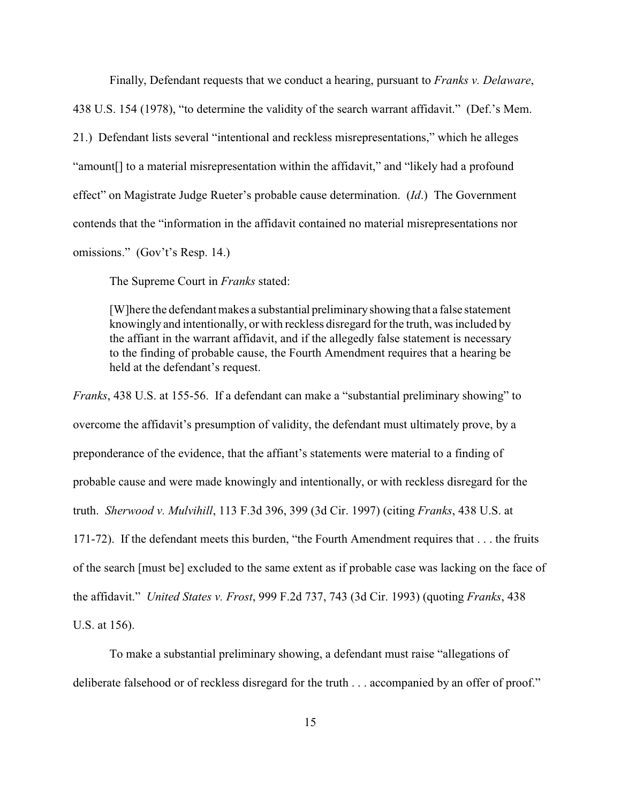Finally, Defendant requests that we conduct a hearing, pursuant to *Franks v. Delaware*, 438 U.S. 154 (1978), "to determine the validity of the search warrant affidavit." (Def.'s Mem. 21.) Defendant lists several "intentional and reckless misrepresentations," which he alleges "amount[] to a material misrepresentation within the affidavit," and "likely had a profound effect" on Magistrate Judge Rueter's probable cause determination. (*Id*.) The Government contends that the "information in the affidavit contained no material misrepresentations nor omissions." (Gov't's Resp. 14.)

The Supreme Court in *Franks* stated:

[W]here the defendant makes a substantial preliminaryshowing that a false statement knowingly and intentionally, or with reckless disregard for the truth, was included by the affiant in the warrant affidavit, and if the allegedly false statement is necessary to the finding of probable cause, the Fourth Amendment requires that a hearing be held at the defendant's request.

*Franks*, 438 U.S. at 155-56. If a defendant can make a "substantial preliminary showing" to overcome the affidavit's presumption of validity, the defendant must ultimately prove, by a preponderance of the evidence, that the affiant's statements were material to a finding of probable cause and were made knowingly and intentionally, or with reckless disregard for the truth. *Sherwood v. Mulvihill*, 113 F.3d 396, 399 (3d Cir. 1997) (citing *Franks*, 438 U.S. at 171-72). If the defendant meets this burden, "the Fourth Amendment requires that . . . the fruits of the search [must be] excluded to the same extent as if probable case was lacking on the face of the affidavit." *United States v. Frost*, 999 F.2d 737, 743 (3d Cir. 1993) (quoting *Franks*, 438 U.S. at 156).

To make a substantial preliminary showing, a defendant must raise "allegations of deliberate falsehood or of reckless disregard for the truth . . . accompanied by an offer of proof."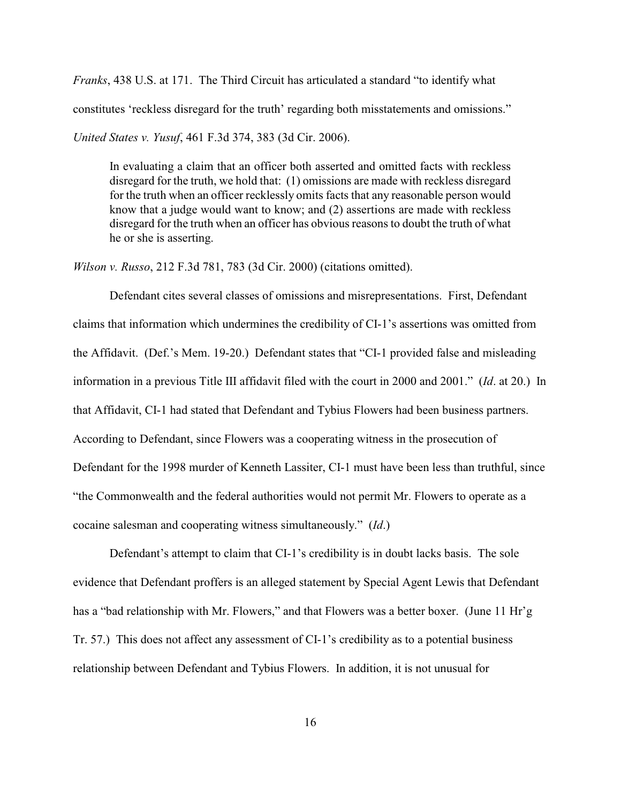*Franks*, 438 U.S. at 171. The Third Circuit has articulated a standard "to identify what constitutes 'reckless disregard for the truth' regarding both misstatements and omissions." *United States v. Yusuf*, 461 F.3d 374, 383 (3d Cir. 2006).

In evaluating a claim that an officer both asserted and omitted facts with reckless disregard for the truth, we hold that: (1) omissions are made with reckless disregard for the truth when an officer recklessly omits facts that any reasonable person would know that a judge would want to know; and (2) assertions are made with reckless disregard for the truth when an officer has obvious reasons to doubt the truth of what he or she is asserting.

*Wilson v. Russo*, 212 F.3d 781, 783 (3d Cir. 2000) (citations omitted).

Defendant cites several classes of omissions and misrepresentations. First, Defendant claims that information which undermines the credibility of CI-1's assertions was omitted from the Affidavit. (Def.'s Mem. 19-20.) Defendant states that "CI-1 provided false and misleading information in a previous Title III affidavit filed with the court in 2000 and 2001." (*Id*. at 20.) In that Affidavit, CI-1 had stated that Defendant and Tybius Flowers had been business partners. According to Defendant, since Flowers was a cooperating witness in the prosecution of Defendant for the 1998 murder of Kenneth Lassiter, CI-1 must have been less than truthful, since "the Commonwealth and the federal authorities would not permit Mr. Flowers to operate as a cocaine salesman and cooperating witness simultaneously." (*Id*.)

Defendant's attempt to claim that CI-1's credibility is in doubt lacks basis. The sole evidence that Defendant proffers is an alleged statement by Special Agent Lewis that Defendant has a "bad relationship with Mr. Flowers," and that Flowers was a better boxer. (June 11 Hr'g Tr. 57.) This does not affect any assessment of CI-1's credibility as to a potential business relationship between Defendant and Tybius Flowers. In addition, it is not unusual for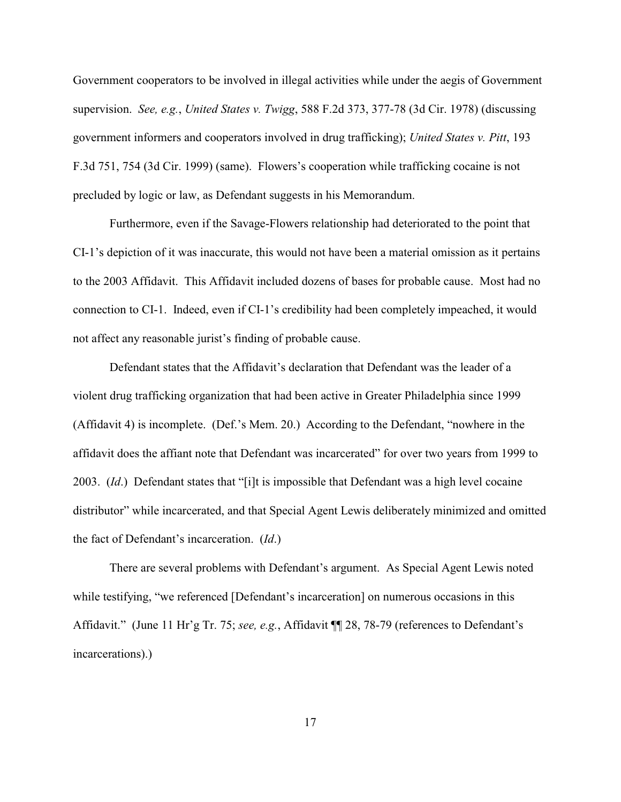Government cooperators to be involved in illegal activities while under the aegis of Government supervision. *See, e.g.*, *United States v. Twigg*, 588 F.2d 373, 377-78 (3d Cir. 1978) (discussing government informers and cooperators involved in drug trafficking); *United States v. Pitt*, 193 F.3d 751, 754 (3d Cir. 1999) (same). Flowers's cooperation while trafficking cocaine is not precluded by logic or law, as Defendant suggests in his Memorandum.

Furthermore, even if the Savage-Flowers relationship had deteriorated to the point that CI-1's depiction of it was inaccurate, this would not have been a material omission as it pertains to the 2003 Affidavit. This Affidavit included dozens of bases for probable cause. Most had no connection to CI-1. Indeed, even if CI-1's credibility had been completely impeached, it would not affect any reasonable jurist's finding of probable cause.

 Defendant states that the Affidavit's declaration that Defendant was the leader of a violent drug trafficking organization that had been active in Greater Philadelphia since 1999 (Affidavit 4) is incomplete. (Def.'s Mem. 20.) According to the Defendant, "nowhere in the affidavit does the affiant note that Defendant was incarcerated" for over two years from 1999 to 2003. (*Id*.) Defendant states that "[i]t is impossible that Defendant was a high level cocaine distributor" while incarcerated, and that Special Agent Lewis deliberately minimized and omitted the fact of Defendant's incarceration. (*Id*.)

There are several problems with Defendant's argument. As Special Agent Lewis noted while testifying, "we referenced [Defendant's incarceration] on numerous occasions in this Affidavit." (June 11 Hr'g Tr. 75; *see, e.g.*, Affidavit ¶¶ 28, 78-79 (references to Defendant's incarcerations).)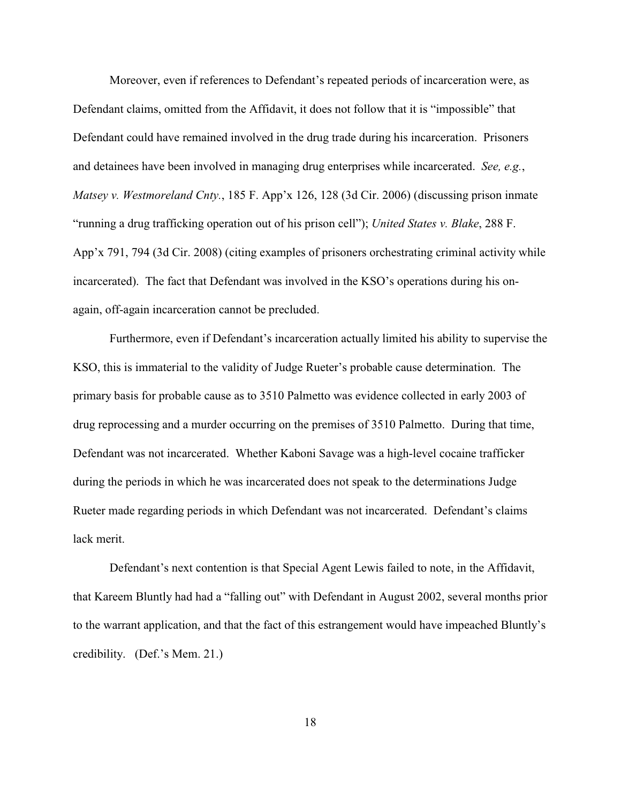Moreover, even if references to Defendant's repeated periods of incarceration were, as Defendant claims, omitted from the Affidavit, it does not follow that it is "impossible" that Defendant could have remained involved in the drug trade during his incarceration. Prisoners and detainees have been involved in managing drug enterprises while incarcerated. *See, e.g.*, *Matsey v. Westmoreland Cnty.*, 185 F. App'x 126, 128 (3d Cir. 2006) (discussing prison inmate "running a drug trafficking operation out of his prison cell"); *United States v. Blake*, 288 F. App'x 791, 794 (3d Cir. 2008) (citing examples of prisoners orchestrating criminal activity while incarcerated). The fact that Defendant was involved in the KSO's operations during his onagain, off-again incarceration cannot be precluded.

Furthermore, even if Defendant's incarceration actually limited his ability to supervise the KSO, this is immaterial to the validity of Judge Rueter's probable cause determination. The primary basis for probable cause as to 3510 Palmetto was evidence collected in early 2003 of drug reprocessing and a murder occurring on the premises of 3510 Palmetto. During that time, Defendant was not incarcerated. Whether Kaboni Savage was a high-level cocaine trafficker during the periods in which he was incarcerated does not speak to the determinations Judge Rueter made regarding periods in which Defendant was not incarcerated. Defendant's claims lack merit.

Defendant's next contention is that Special Agent Lewis failed to note, in the Affidavit, that Kareem Bluntly had had a "falling out" with Defendant in August 2002, several months prior to the warrant application, and that the fact of this estrangement would have impeached Bluntly's credibility. (Def.'s Mem. 21.)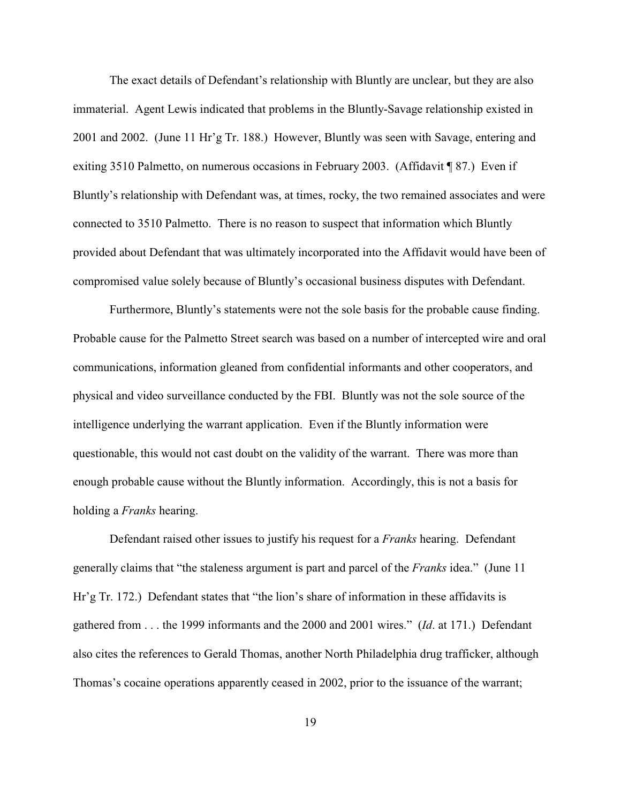The exact details of Defendant's relationship with Bluntly are unclear, but they are also immaterial. Agent Lewis indicated that problems in the Bluntly-Savage relationship existed in 2001 and 2002. (June 11 Hr'g Tr. 188.) However, Bluntly was seen with Savage, entering and exiting 3510 Palmetto, on numerous occasions in February 2003. (Affidavit ¶ 87.) Even if Bluntly's relationship with Defendant was, at times, rocky, the two remained associates and were connected to 3510 Palmetto. There is no reason to suspect that information which Bluntly provided about Defendant that was ultimately incorporated into the Affidavit would have been of compromised value solely because of Bluntly's occasional business disputes with Defendant.

Furthermore, Bluntly's statements were not the sole basis for the probable cause finding. Probable cause for the Palmetto Street search was based on a number of intercepted wire and oral communications, information gleaned from confidential informants and other cooperators, and physical and video surveillance conducted by the FBI. Bluntly was not the sole source of the intelligence underlying the warrant application. Even if the Bluntly information were questionable, this would not cast doubt on the validity of the warrant. There was more than enough probable cause without the Bluntly information. Accordingly, this is not a basis for holding a *Franks* hearing.

Defendant raised other issues to justify his request for a *Franks* hearing. Defendant generally claims that "the staleness argument is part and parcel of the *Franks* idea." (June 11 Hr'g Tr. 172.) Defendant states that "the lion's share of information in these affidavits is gathered from . . . the 1999 informants and the 2000 and 2001 wires." (*Id*. at 171.) Defendant also cites the references to Gerald Thomas, another North Philadelphia drug trafficker, although Thomas's cocaine operations apparently ceased in 2002, prior to the issuance of the warrant;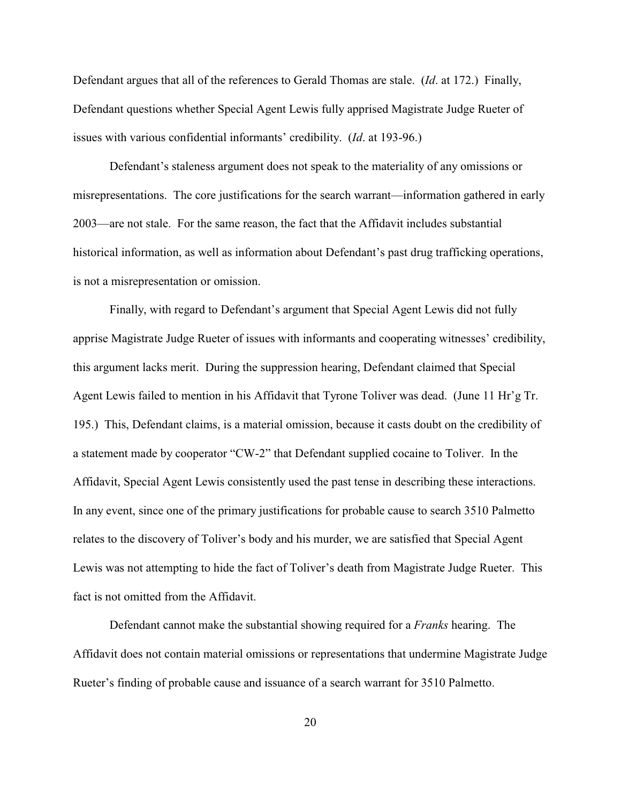Defendant argues that all of the references to Gerald Thomas are stale. (*Id*. at 172.) Finally, Defendant questions whether Special Agent Lewis fully apprised Magistrate Judge Rueter of issues with various confidential informants' credibility. (*Id*. at 193-96.)

Defendant's staleness argument does not speak to the materiality of any omissions or misrepresentations. The core justifications for the search warrant—information gathered in early 2003—are not stale. For the same reason, the fact that the Affidavit includes substantial historical information, as well as information about Defendant's past drug trafficking operations, is not a misrepresentation or omission.

Finally, with regard to Defendant's argument that Special Agent Lewis did not fully apprise Magistrate Judge Rueter of issues with informants and cooperating witnesses' credibility, this argument lacks merit. During the suppression hearing, Defendant claimed that Special Agent Lewis failed to mention in his Affidavit that Tyrone Toliver was dead. (June 11 Hr'g Tr. 195.) This, Defendant claims, is a material omission, because it casts doubt on the credibility of a statement made by cooperator "CW-2" that Defendant supplied cocaine to Toliver. In the Affidavit, Special Agent Lewis consistently used the past tense in describing these interactions. In any event, since one of the primary justifications for probable cause to search 3510 Palmetto relates to the discovery of Toliver's body and his murder, we are satisfied that Special Agent Lewis was not attempting to hide the fact of Toliver's death from Magistrate Judge Rueter. This fact is not omitted from the Affidavit.

Defendant cannot make the substantial showing required for a *Franks* hearing. The Affidavit does not contain material omissions or representations that undermine Magistrate Judge Rueter's finding of probable cause and issuance of a search warrant for 3510 Palmetto.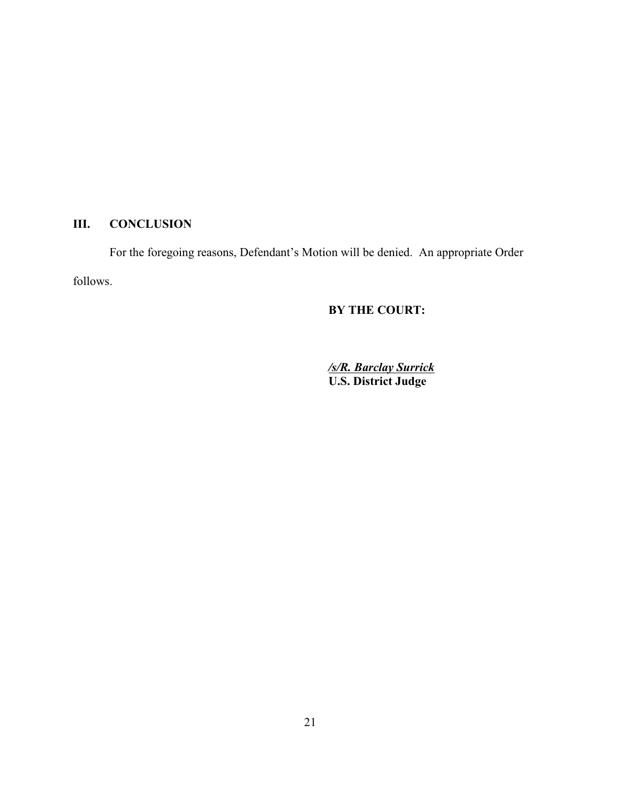# **III. CONCLUSION**

For the foregoing reasons, Defendant's Motion will be denied. An appropriate Order follows.

# **BY THE COURT:**

*/s/R. Barclay Surrick* **U.S. District Judge**